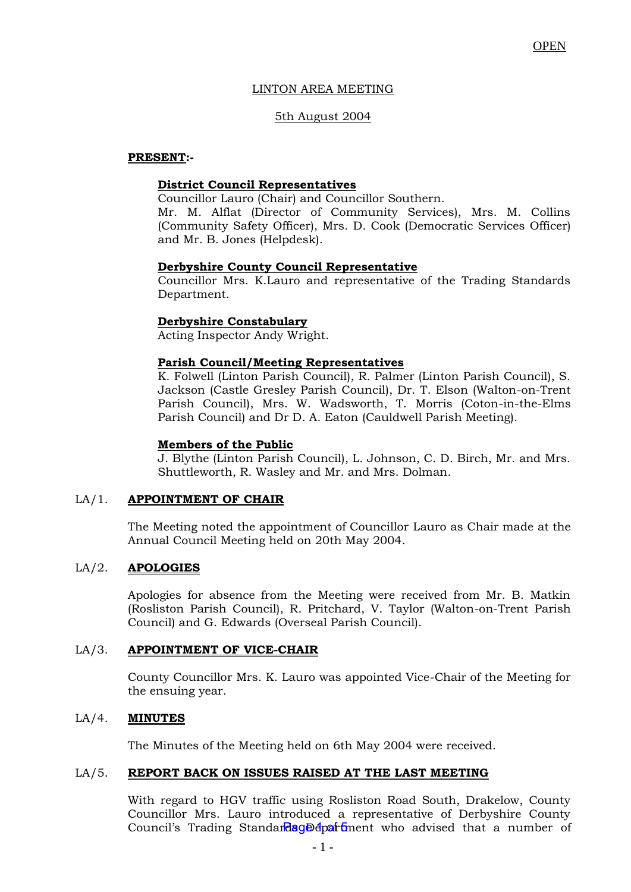# LINTON AREA MEETING

# 5th August 2004

#### **PRESENT:-**

# **District Council Representatives**

Councillor Lauro (Chair) and Councillor Southern.

Mr. M. Alflat (Director of Community Services), Mrs. M. Collins (Community Safety Officer), Mrs. D. Cook (Democratic Services Officer) and Mr. B. Jones (Helpdesk).

#### **Derbyshire County Council Representative**

Councillor Mrs. K.Lauro and representative of the Trading Standards Department.

#### **Derbyshire Constabulary**

Acting Inspector Andy Wright.

# **Parish Council/Meeting Representatives**

K. Folwell (Linton Parish Council), R. Palmer (Linton Parish Council), S. Jackson (Castle Gresley Parish Council), Dr. T. Elson (Walton-on-Trent Parish Council), Mrs. W. Wadsworth, T. Morris (Coton-in-the-Elms Parish Council) and Dr D. A. Eaton (Cauldwell Parish Meeting).

#### **Members of the Public**

J. Blythe (Linton Parish Council), L. Johnson, C. D. Birch, Mr. and Mrs. Shuttleworth, R. Wasley and Mr. and Mrs. Dolman.

# LA/1. **APPOINTMENT OF CHAIR**

The Meeting noted the appointment of Councillor Lauro as Chair made at the Annual Council Meeting held on 20th May 2004.

# LA/2. **APOLOGIES**

Apologies for absence from the Meeting were received from Mr. B. Matkin (Rosliston Parish Council), R. Pritchard, V. Taylor (Walton-on-Trent Parish Council) and G. Edwards (Overseal Parish Council).

# LA/3. **APPOINTMENT OF VICE-CHAIR**

County Councillor Mrs. K. Lauro was appointed Vice-Chair of the Meeting for the ensuing year.

# LA/4. **MINUTES**

The Minutes of the Meeting held on 6th May 2004 were received.

# LA/5. **REPORT BACK ON ISSUES RAISED AT THE LAST MEETING**

With regard to HGV traffic using Rosliston Road South, Drakelow, County Councillor Mrs. Lauro introduced a representative of Derbyshire County Council's Trading Standardag Department who advised that a number of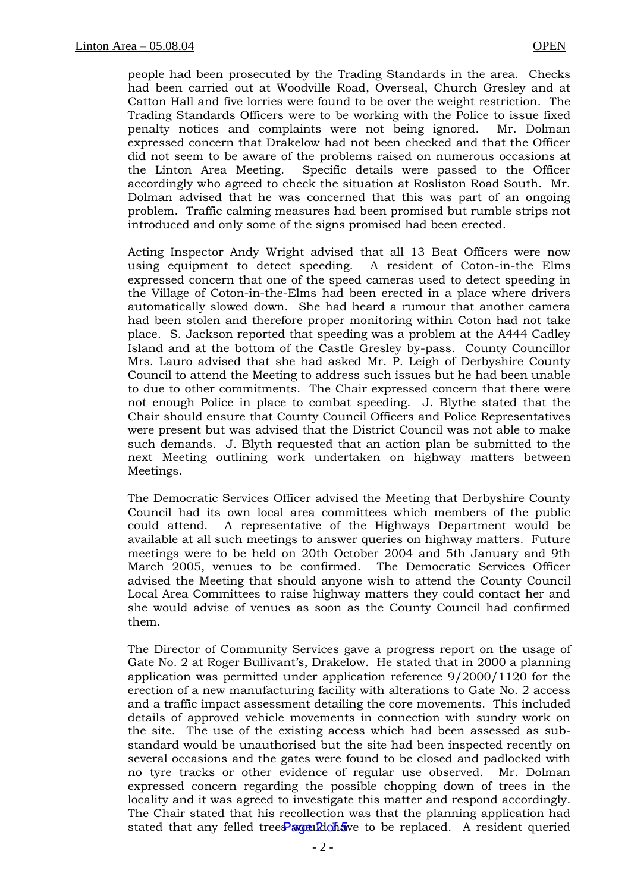people had been prosecuted by the Trading Standards in the area. Checks had been carried out at Woodville Road, Overseal, Church Gresley and at Catton Hall and five lorries were found to be over the weight restriction. The Trading Standards Officers were to be working with the Police to issue fixed penalty notices and complaints were not being ignored. Mr. Dolman expressed concern that Drakelow had not been checked and that the Officer did not seem to be aware of the problems raised on numerous occasions at the Linton Area Meeting. Specific details were passed to the Officer accordingly who agreed to check the situation at Rosliston Road South. Mr. Dolman advised that he was concerned that this was part of an ongoing problem. Traffic calming measures had been promised but rumble strips not introduced and only some of the signs promised had been erected.

Acting Inspector Andy Wright advised that all 13 Beat Officers were now using equipment to detect speeding. A resident of Coton-in-the Elms expressed concern that one of the speed cameras used to detect speeding in the Village of Coton-in-the-Elms had been erected in a place where drivers automatically slowed down. She had heard a rumour that another camera had been stolen and therefore proper monitoring within Coton had not take place. S. Jackson reported that speeding was a problem at the A444 Cadley Island and at the bottom of the Castle Gresley by-pass. County Councillor Mrs. Lauro advised that she had asked Mr. P. Leigh of Derbyshire County Council to attend the Meeting to address such issues but he had been unable to due to other commitments. The Chair expressed concern that there were not enough Police in place to combat speeding. J. Blythe stated that the Chair should ensure that County Council Officers and Police Representatives were present but was advised that the District Council was not able to make such demands. J. Blyth requested that an action plan be submitted to the next Meeting outlining work undertaken on highway matters between Meetings.

The Democratic Services Officer advised the Meeting that Derbyshire County Council had its own local area committees which members of the public could attend. A representative of the Highways Department would be available at all such meetings to answer queries on highway matters. Future meetings were to be held on 20th October 2004 and 5th January and 9th March 2005, venues to be confirmed. The Democratic Services Officer advised the Meeting that should anyone wish to attend the County Council Local Area Committees to raise highway matters they could contact her and she would advise of venues as soon as the County Council had confirmed them.

The Director of Community Services gave a progress report on the usage of Gate No. 2 at Roger Bullivant's, Drakelow. He stated that in 2000 a planning application was permitted under application reference 9/2000/1120 for the erection of a new manufacturing facility with alterations to Gate No. 2 access and a traffic impact assessment detailing the core movements. This included details of approved vehicle movements in connection with sundry work on the site. The use of the existing access which had been assessed as substandard would be unauthorised but the site had been inspected recently on several occasions and the gates were found to be closed and padlocked with no tyre tracks or other evidence of regular use observed. Mr. Dolman expressed concern regarding the possible chopping down of trees in the locality and it was agreed to investigate this matter and respond accordingly. The Chair stated that his recollection was that the planning application had stated that any felled trees would have to be replaced. A resident queried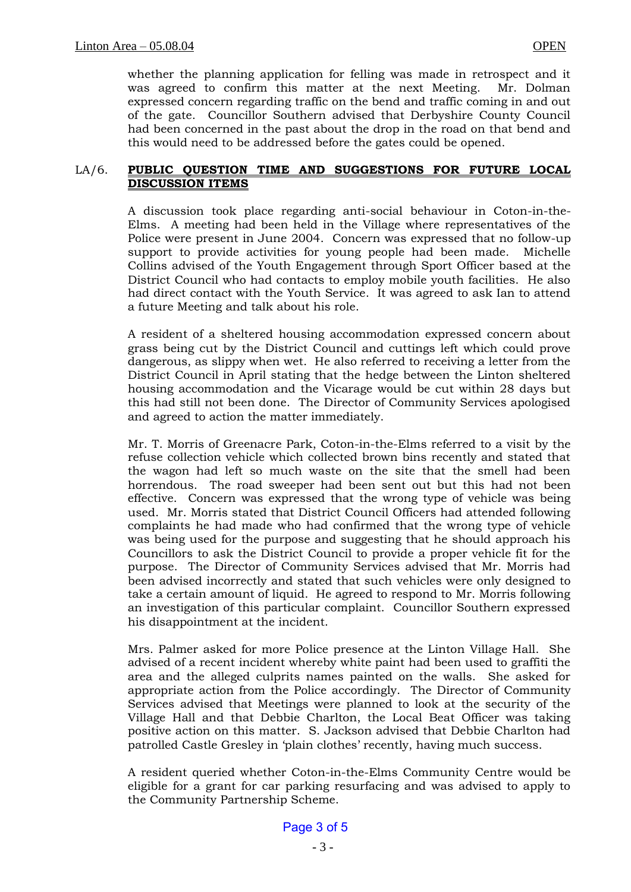whether the planning application for felling was made in retrospect and it was agreed to confirm this matter at the next Meeting. Mr. Dolman expressed concern regarding traffic on the bend and traffic coming in and out of the gate. Councillor Southern advised that Derbyshire County Council had been concerned in the past about the drop in the road on that bend and this would need to be addressed before the gates could be opened.

#### LA/6. **PUBLIC QUESTION TIME AND SUGGESTIONS FOR FUTURE LOCAL DISCUSSION ITEMS**

A discussion took place regarding anti-social behaviour in Coton-in-the-Elms. A meeting had been held in the Village where representatives of the Police were present in June 2004. Concern was expressed that no follow-up support to provide activities for young people had been made. Michelle Collins advised of the Youth Engagement through Sport Officer based at the District Council who had contacts to employ mobile youth facilities. He also had direct contact with the Youth Service. It was agreed to ask Ian to attend a future Meeting and talk about his role.

A resident of a sheltered housing accommodation expressed concern about grass being cut by the District Council and cuttings left which could prove dangerous, as slippy when wet. He also referred to receiving a letter from the District Council in April stating that the hedge between the Linton sheltered housing accommodation and the Vicarage would be cut within 28 days but this had still not been done. The Director of Community Services apologised and agreed to action the matter immediately.

Mr. T. Morris of Greenacre Park, Coton-in-the-Elms referred to a visit by the refuse collection vehicle which collected brown bins recently and stated that the wagon had left so much waste on the site that the smell had been horrendous. The road sweeper had been sent out but this had not been effective. Concern was expressed that the wrong type of vehicle was being used. Mr. Morris stated that District Council Officers had attended following complaints he had made who had confirmed that the wrong type of vehicle was being used for the purpose and suggesting that he should approach his Councillors to ask the District Council to provide a proper vehicle fit for the purpose. The Director of Community Services advised that Mr. Morris had been advised incorrectly and stated that such vehicles were only designed to take a certain amount of liquid. He agreed to respond to Mr. Morris following an investigation of this particular complaint. Councillor Southern expressed his disappointment at the incident.

Mrs. Palmer asked for more Police presence at the Linton Village Hall. She advised of a recent incident whereby white paint had been used to graffiti the area and the alleged culprits names painted on the walls. She asked for appropriate action from the Police accordingly. The Director of Community Services advised that Meetings were planned to look at the security of the Village Hall and that Debbie Charlton, the Local Beat Officer was taking positive action on this matter. S. Jackson advised that Debbie Charlton had patrolled Castle Gresley in 'plain clothes' recently, having much success.

A resident queried whether Coton-in-the-Elms Community Centre would be eligible for a grant for car parking resurfacing and was advised to apply to the Community Partnership Scheme.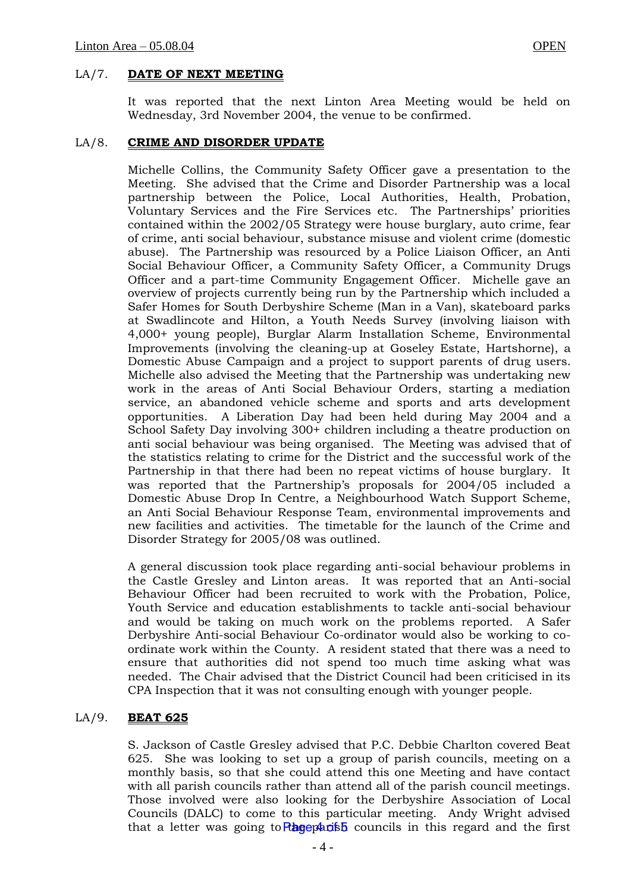#### LA/7. **DATE OF NEXT MEETING**

It was reported that the next Linton Area Meeting would be held on Wednesday, 3rd November 2004, the venue to be confirmed.

#### LA/8. **CRIME AND DISORDER UPDATE**

Michelle Collins, the Community Safety Officer gave a presentation to the Meeting. She advised that the Crime and Disorder Partnership was a local partnership between the Police, Local Authorities, Health, Probation, Voluntary Services and the Fire Services etc. The Partnerships' priorities contained within the 2002/05 Strategy were house burglary, auto crime, fear of crime, anti social behaviour, substance misuse and violent crime (domestic abuse). The Partnership was resourced by a Police Liaison Officer, an Anti Social Behaviour Officer, a Community Safety Officer, a Community Drugs Officer and a part-time Community Engagement Officer. Michelle gave an overview of projects currently being run by the Partnership which included a Safer Homes for South Derbyshire Scheme (Man in a Van), skateboard parks at Swadlincote and Hilton, a Youth Needs Survey (involving liaison with 4,000+ young people), Burglar Alarm Installation Scheme, Environmental Improvements (involving the cleaning-up at Goseley Estate, Hartshorne), a Domestic Abuse Campaign and a project to support parents of drug users. Michelle also advised the Meeting that the Partnership was undertaking new work in the areas of Anti Social Behaviour Orders, starting a mediation service, an abandoned vehicle scheme and sports and arts development opportunities. A Liberation Day had been held during May 2004 and a School Safety Day involving 300+ children including a theatre production on anti social behaviour was being organised. The Meeting was advised that of the statistics relating to crime for the District and the successful work of the Partnership in that there had been no repeat victims of house burglary. It was reported that the Partnership's proposals for 2004/05 included a Domestic Abuse Drop In Centre, a Neighbourhood Watch Support Scheme, an Anti Social Behaviour Response Team, environmental improvements and new facilities and activities. The timetable for the launch of the Crime and Disorder Strategy for 2005/08 was outlined.

A general discussion took place regarding anti-social behaviour problems in the Castle Gresley and Linton areas. It was reported that an Anti-social Behaviour Officer had been recruited to work with the Probation, Police, Youth Service and education establishments to tackle anti-social behaviour and would be taking on much work on the problems reported. A Safer Derbyshire Anti-social Behaviour Co-ordinator would also be working to coordinate work within the County. A resident stated that there was a need to ensure that authorities did not spend too much time asking what was needed. The Chair advised that the District Council had been criticised in its CPA Inspection that it was not consulting enough with younger people.

# LA/9. **BEAT 625**

S. Jackson of Castle Gresley advised that P.C. Debbie Charlton covered Beat 625. She was looking to set up a group of parish councils, meeting on a monthly basis, so that she could attend this one Meeting and have contact with all parish councils rather than attend all of the parish council meetings. Those involved were also looking for the Derbyshire Association of Local Councils (DALC) to come to this particular meeting. Andy Wright advised that a letter was going to Ragepants councils in this regard and the first